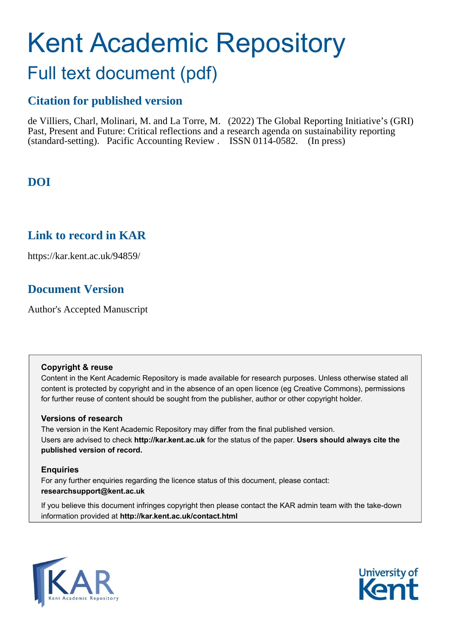# Kent Academic Repository

# Full text document (pdf)

# **Citation for published version**

de Villiers, Charl, Molinari, M. and La Torre, M. (2022) The Global Reporting Initiative's (GRI) Past, Present and Future: Critical reflections and a research agenda on sustainability reporting (standard-setting). Pacific Accounting Review . ISSN 0114-0582. (In press)

# **DOI**

# **Link to record in KAR**

https://kar.kent.ac.uk/94859/

# **Document Version**

Author's Accepted Manuscript

#### **Copyright & reuse**

Content in the Kent Academic Repository is made available for research purposes. Unless otherwise stated all content is protected by copyright and in the absence of an open licence (eg Creative Commons), permissions for further reuse of content should be sought from the publisher, author or other copyright holder.

## **Versions of research**

The version in the Kent Academic Repository may differ from the final published version. Users are advised to check **http://kar.kent.ac.uk** for the status of the paper. **Users should always cite the published version of record.**

## **Enquiries**

For any further enquiries regarding the licence status of this document, please contact: **researchsupport@kent.ac.uk**

If you believe this document infringes copyright then please contact the KAR admin team with the take-down information provided at **http://kar.kent.ac.uk/contact.html**



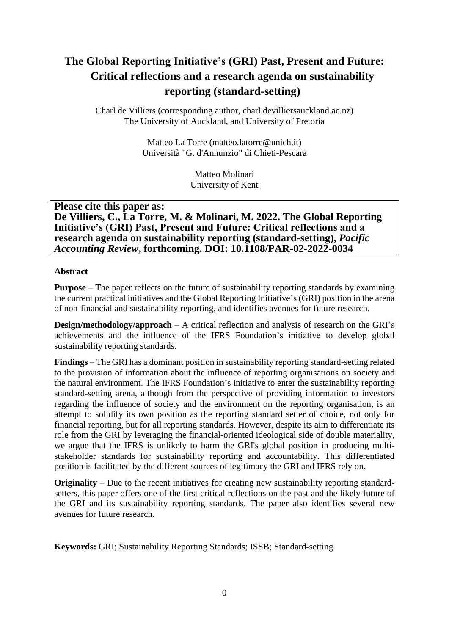# **The Global Reporting Initiative's (GRI) Past, Present and Future: Critical reflections and a research agenda on sustainability reporting (standard-setting)**

Charl de Villiers (corresponding author, charl.devilliersauckland.ac.nz) The University of Auckland, and University of Pretoria

> Matteo La Torre (matteo.latorre@unich.it) Università "G. d'Annunzio" di Chieti-Pescara

> > Matteo Molinari University of Kent

## **Please cite this paper as:**

**De Villiers, C., La Torre, M. & Molinari, M. 2022. The Global Reporting Initiative's (GRI) Past, Present and Future: Critical reflections and a research agenda on sustainability reporting (standard-setting),** *Pacific Accounting Review***, forthcoming. DOI: 10.1108/PAR-02-2022-0034**

#### **Abstract**

**Purpose** – The paper reflects on the future of sustainability reporting standards by examining the current practical initiatives and the Global Reporting Initiative's (GRI) position in the arena of non-financial and sustainability reporting, and identifies avenues for future research.

**Design/methodology/approach** – A critical reflection and analysis of research on the GRI's achievements and the influence of the IFRS Foundation's initiative to develop global sustainability reporting standards.

**Findings** – The GRI has a dominant position in sustainability reporting standard-setting related to the provision of information about the influence of reporting organisations on society and the natural environment. The IFRS Foundation's initiative to enter the sustainability reporting standard-setting arena, although from the perspective of providing information to investors regarding the influence of society and the environment on the reporting organisation, is an attempt to solidify its own position as the reporting standard setter of choice, not only for financial reporting, but for all reporting standards. However, despite its aim to differentiate its role from the GRI by leveraging the financial-oriented ideological side of double materiality, we argue that the IFRS is unlikely to harm the GRI's global position in producing multistakeholder standards for sustainability reporting and accountability. This differentiated position is facilitated by the different sources of legitimacy the GRI and IFRS rely on.

**Originality** – Due to the recent initiatives for creating new sustainability reporting standardsetters, this paper offers one of the first critical reflections on the past and the likely future of the GRI and its sustainability reporting standards. The paper also identifies several new avenues for future research.

**Keywords:** GRI; Sustainability Reporting Standards; ISSB; Standard-setting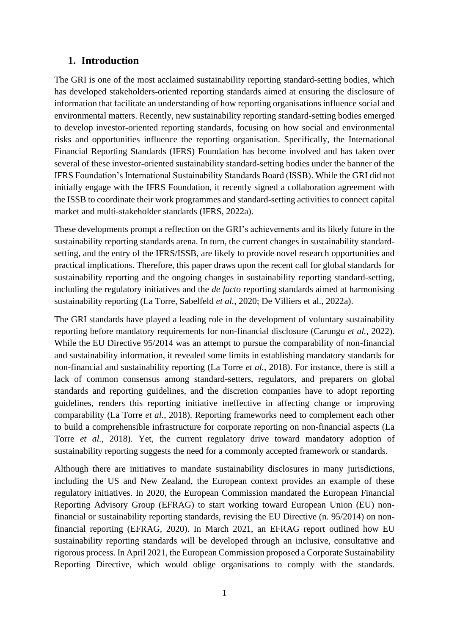# **1. Introduction**

The GRI is one of the most acclaimed sustainability reporting standard-setting bodies, which has developed stakeholders-oriented reporting standards aimed at ensuring the disclosure of information that facilitate an understanding of how reporting organisations influence social and environmental matters. Recently, new sustainability reporting standard-setting bodies emerged to develop investor-oriented reporting standards, focusing on how social and environmental risks and opportunities influence the reporting organisation. Specifically, the International Financial Reporting Standards (IFRS) Foundation has become involved and has taken over several of these investor-oriented sustainability standard-setting bodies under the banner of the IFRS Foundation's International Sustainability Standards Board (ISSB). While the GRI did not initially engage with the IFRS Foundation, it recently signed a collaboration agreement with the ISSB to coordinate their work programmes and standard-setting activities to connect capital market and multi-stakeholder standards (IFRS, 2022a).

These developments prompt a reflection on the GRI's achievements and its likely future in the sustainability reporting standards arena. In turn, the current changes in sustainability standardsetting, and the entry of the IFRS/ISSB, are likely to provide novel research opportunities and practical implications. Therefore, this paper draws upon the recent call for global standards for sustainability reporting and the ongoing changes in sustainability reporting standard-setting, including the regulatory initiatives and the *de facto* reporting standards aimed at harmonising sustainability reporting (La Torre, Sabelfeld *et al.*, 2020; De Villiers et al., 2022a).

The GRI standards have played a leading role in the development of voluntary sustainability reporting before mandatory requirements for non-financial disclosure (Carungu *et al.*, 2022). While the EU Directive 95/2014 was an attempt to pursue the comparability of non-financial and sustainability information, it revealed some limits in establishing mandatory standards for non-financial and sustainability reporting (La Torre *et al.*, 2018). For instance, there is still a lack of common consensus among standard-setters, regulators, and preparers on global standards and reporting guidelines, and the discretion companies have to adopt reporting guidelines, renders this reporting initiative ineffective in affecting change or improving comparability (La Torre *et al.*, 2018). Reporting frameworks need to complement each other to build a comprehensible infrastructure for corporate reporting on non-financial aspects (La Torre *et al.*, 2018). Yet, the current regulatory drive toward mandatory adoption of sustainability reporting suggests the need for a commonly accepted framework or standards.

Although there are initiatives to mandate sustainability disclosures in many jurisdictions, including the US and New Zealand, the European context provides an example of these regulatory initiatives. In 2020, the European Commission mandated the European Financial Reporting Advisory Group (EFRAG) to start working toward European Union (EU) nonfinancial or sustainability reporting standards, revising the EU Directive (n. 95/2014) on nonfinancial reporting (EFRAG, 2020). In March 2021, an EFRAG report outlined how EU sustainability reporting standards will be developed through an inclusive, consultative and rigorous process. In April 2021, the European Commission proposed a Corporate Sustainability Reporting Directive, which would oblige organisations to comply with the standards.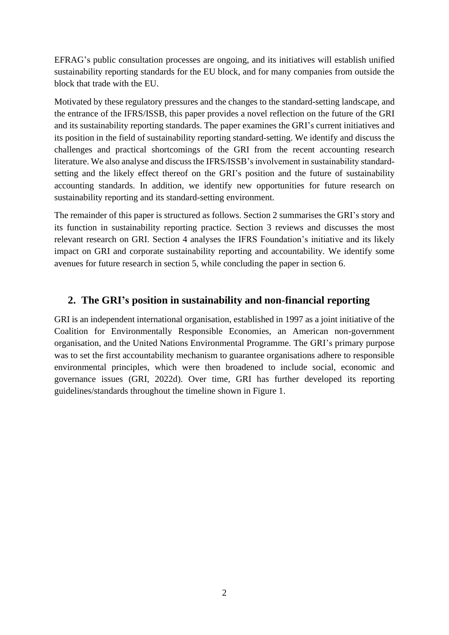EFRAG's public consultation processes are ongoing, and its initiatives will establish unified sustainability reporting standards for the EU block, and for many companies from outside the block that trade with the EU.

Motivated by these regulatory pressures and the changes to the standard-setting landscape, and the entrance of the IFRS/ISSB, this paper provides a novel reflection on the future of the GRI and its sustainability reporting standards. The paper examines the GRI's current initiatives and its position in the field of sustainability reporting standard-setting. We identify and discuss the challenges and practical shortcomings of the GRI from the recent accounting research literature. We also analyse and discuss the IFRS/ISSB's involvement in sustainability standardsetting and the likely effect thereof on the GRI's position and the future of sustainability accounting standards. In addition, we identify new opportunities for future research on sustainability reporting and its standard-setting environment.

The remainder of this paper is structured as follows. Section 2 summarises the GRI's story and its function in sustainability reporting practice. Section 3 reviews and discusses the most relevant research on GRI. Section 4 analyses the IFRS Foundation's initiative and its likely impact on GRI and corporate sustainability reporting and accountability. We identify some avenues for future research in section 5, while concluding the paper in section 6.

# **2. The GRI's position in sustainability and non-financial reporting**

GRI is an independent international organisation, established in 1997 as a joint initiative of the Coalition for Environmentally Responsible Economies, an American non-government organisation, and the United Nations Environmental Programme. The GRI's primary purpose was to set the first accountability mechanism to guarantee organisations adhere to responsible environmental principles, which were then broadened to include social, economic and governance issues (GRI, 2022d). Over time, GRI has further developed its reporting guidelines/standards throughout the timeline shown in Figure 1.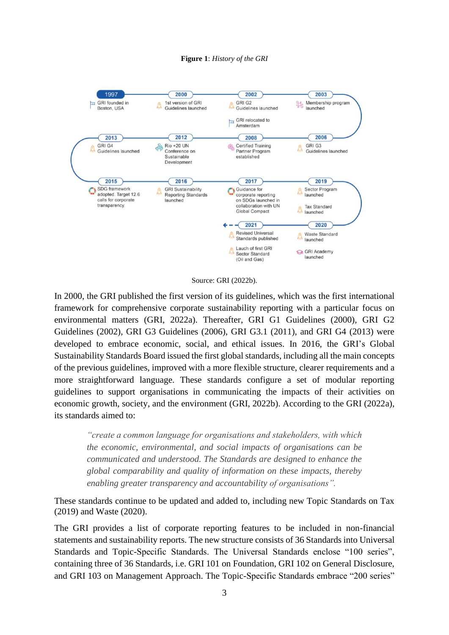#### **Figure 1**: *History of the GRI*



Source: GRI (2022b).

In 2000, the GRI published the first version of its guidelines, which was the first international framework for comprehensive corporate sustainability reporting with a particular focus on environmental matters (GRI, 2022a). Thereafter, GRI G1 Guidelines (2000), GRI G2 Guidelines (2002), GRI G3 Guidelines (2006), GRI G3.1 (2011), and GRI G4 (2013) were developed to embrace economic, social, and ethical issues. In 2016, the GRI's Global Sustainability Standards Board issued the first global standards, including all the main concepts of the previous guidelines, improved with a more flexible structure, clearer requirements and a more straightforward language. These standards configure a set of modular reporting guidelines to support organisations in communicating the impacts of their activities on economic growth, society, and the environment (GRI, 2022b). According to the GRI (2022a), its standards aimed to:

*"create a common language for organisations and stakeholders, with which the economic, environmental, and social impacts of organisations can be communicated and understood. The Standards are designed to enhance the global comparability and quality of information on these impacts, thereby enabling greater transparency and accountability of organisations".* 

These standards continue to be updated and added to, including new Topic Standards on Tax (2019) and Waste (2020).

The GRI provides a list of corporate reporting features to be included in non-financial statements and sustainability reports. The new structure consists of 36 Standards into Universal Standards and Topic-Specific Standards. The Universal Standards enclose "100 series", containing three of 36 Standards, i.e. GRI 101 on Foundation, GRI 102 on General Disclosure, and GRI 103 on Management Approach. The Topic-Specific Standards embrace "200 series"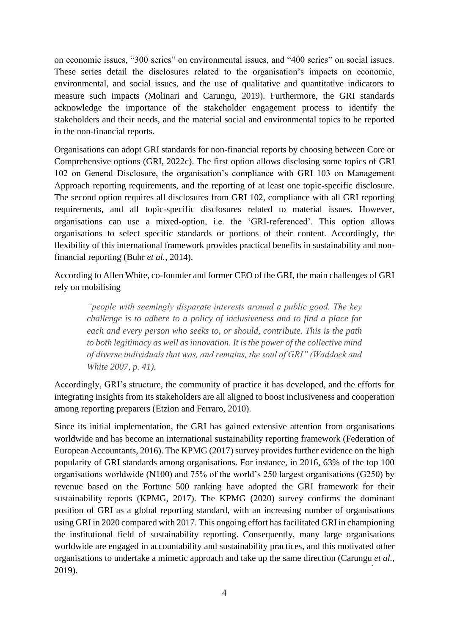on economic issues, "300 series" on environmental issues, and "400 series" on social issues. These series detail the disclosures related to the organisation's impacts on economic, environmental, and social issues, and the use of qualitative and quantitative indicators to measure such impacts (Molinari and Carungu, 2019). Furthermore, the GRI standards acknowledge the importance of the stakeholder engagement process to identify the stakeholders and their needs, and the material social and environmental topics to be reported in the non-financial reports.

Organisations can adopt GRI standards for non-financial reports by choosing between Core or Comprehensive options (GRI, 2022c). The first option allows disclosing some topics of GRI 102 on General Disclosure, the organisation's compliance with GRI 103 on Management Approach reporting requirements, and the reporting of at least one topic-specific disclosure. The second option requires all disclosures from GRI 102, compliance with all GRI reporting requirements, and all topic-specific disclosures related to material issues. However, organisations can use a mixed-option, i.e. the 'GRI-referenced'. This option allows organisations to select specific standards or portions of their content. Accordingly, the flexibility of this international framework provides practical benefits in sustainability and nonfinancial reporting (Buhr *et al.*, 2014).

According to Allen White, co-founder and former CEO of the GRI, the main challenges of GRI rely on mobilising

*"people with seemingly disparate interests around a public good. The key challenge is to adhere to a policy of inclusiveness and to find a place for each and every person who seeks to, or should, contribute. This is the path to both legitimacy as well as innovation. It is the power of the collective mind of diverse individuals that was, and remains, the soul of GRI" (Waddock and White 2007, p. 41).* 

Accordingly, GRI's structure, the community of practice it has developed, and the efforts for integrating insights from its stakeholders are all aligned to boost inclusiveness and cooperation among reporting preparers (Etzion and Ferraro, 2010).

Since its initial implementation, the GRI has gained extensive attention from organisations worldwide and has become an international sustainability reporting framework (Federation of European Accountants, 2016). The KPMG (2017) survey provides further evidence on the high popularity of GRI standards among organisations. For instance, in 2016, 63% of the top 100 organisations worldwide (N100) and 75% of the world's 250 largest organisations (G250) by revenue based on the Fortune 500 ranking have adopted the GRI framework for their sustainability reports (KPMG, 2017). The KPMG (2020) survey confirms the dominant position of GRI as a global reporting standard, with an increasing number of organisations using GRI in 2020 compared with 2017. This ongoing effort has facilitated GRI in championing the institutional field of sustainability reporting. Consequently, many large organisations worldwide are engaged in accountability and sustainability practices, and this motivated other organisations to undertake a mimetic approach and take up the same direction (Carungu *et al.*, 2019).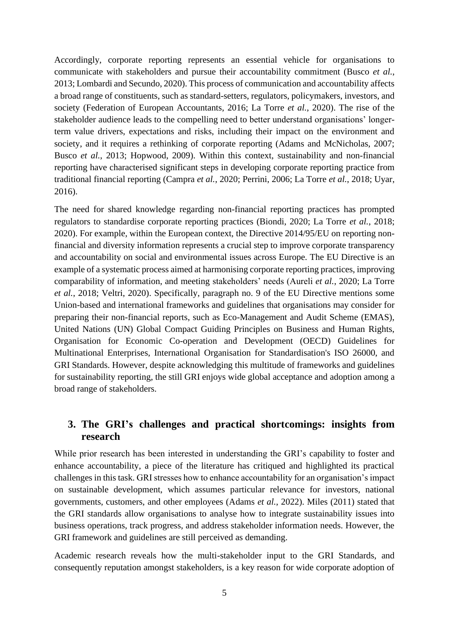Accordingly, corporate reporting represents an essential vehicle for organisations to communicate with stakeholders and pursue their accountability commitment (Busco *et al.*, 2013; Lombardi and Secundo, 2020). This process of communication and accountability affects a broad range of constituents, such as standard-setters, regulators, policymakers, investors, and society (Federation of European Accountants, 2016; La Torre *et al.*, 2020). The rise of the stakeholder audience leads to the compelling need to better understand organisations' longerterm value drivers, expectations and risks, including their impact on the environment and society, and it requires a rethinking of corporate reporting (Adams and McNicholas, 2007; Busco *et al.*, 2013; Hopwood, 2009). Within this context, sustainability and non-financial reporting have characterised significant steps in developing corporate reporting practice from traditional financial reporting (Campra *et al.*, 2020; Perrini, 2006; La Torre *et al.*, 2018; Uyar, 2016).

The need for shared knowledge regarding non-financial reporting practices has prompted regulators to standardise corporate reporting practices (Biondi, 2020; La Torre *et al.*, 2018; 2020). For example, within the European context, the Directive 2014/95/EU on reporting nonfinancial and diversity information represents a crucial step to improve corporate transparency and accountability on social and environmental issues across Europe. The EU Directive is an example of a systematic process aimed at harmonising corporate reporting practices, improving comparability of information, and meeting stakeholders' needs (Aureli *et al.*, 2020; La Torre *et al.*, 2018; Veltri, 2020). Specifically, paragraph no. 9 of the EU Directive mentions some Union-based and international frameworks and guidelines that organisations may consider for preparing their non-financial reports, such as Eco-Management and Audit Scheme (EMAS), United Nations (UN) Global Compact Guiding Principles on Business and Human Rights, Organisation for Economic Co-operation and Development (OECD) Guidelines for Multinational Enterprises, International Organisation for Standardisation's ISO 26000, and GRI Standards. However, despite acknowledging this multitude of frameworks and guidelines for sustainability reporting, the still GRI enjoys wide global acceptance and adoption among a broad range of stakeholders.

# **3. The GRI's challenges and practical shortcomings: insights from research**

While prior research has been interested in understanding the GRI's capability to foster and enhance accountability, a piece of the literature has critiqued and highlighted its practical challenges in this task. GRI stresses how to enhance accountability for an organisation's impact on sustainable development, which assumes particular relevance for investors, national governments, customers, and other employees (Adams *et al.*, 2022). Miles (2011) stated that the GRI standards allow organisations to analyse how to integrate sustainability issues into business operations, track progress, and address stakeholder information needs. However, the GRI framework and guidelines are still perceived as demanding.

Academic research reveals how the multi-stakeholder input to the GRI Standards, and consequently reputation amongst stakeholders, is a key reason for wide corporate adoption of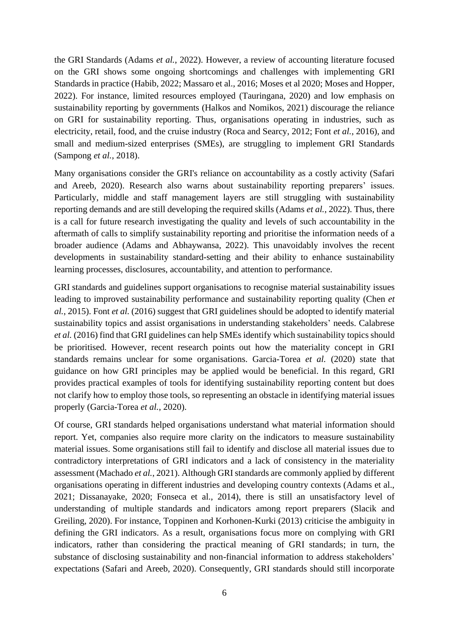the GRI Standards (Adams *et al.*, 2022). However, a review of accounting literature focused on the GRI shows some ongoing shortcomings and challenges with implementing GRI Standards in practice (Habib, 2022; Massaro et al., 2016; Moses et al 2020; Moses and Hopper, 2022). For instance, limited resources employed (Tauringana, 2020) and low emphasis on sustainability reporting by governments (Halkos and Nomikos, 2021) discourage the reliance on GRI for sustainability reporting. Thus, organisations operating in industries, such as electricity, retail, food, and the cruise industry (Roca and Searcy, 2012; Font *et al.*, 2016), and small and medium-sized enterprises (SMEs), are struggling to implement GRI Standards (Sampong *et al.*, 2018).

Many organisations consider the GRI's reliance on accountability as a costly activity (Safari and Areeb, 2020). Research also warns about sustainability reporting preparers' issues. Particularly, middle and staff management layers are still struggling with sustainability reporting demands and are still developing the required skills (Adams *et al.*, 2022). Thus, there is a call for future research investigating the quality and levels of such accountability in the aftermath of calls to simplify sustainability reporting and prioritise the information needs of a broader audience (Adams and Abhaywansa, 2022). This unavoidably involves the recent developments in sustainability standard-setting and their ability to enhance sustainability learning processes, disclosures, accountability, and attention to performance.

GRI standards and guidelines support organisations to recognise material sustainability issues leading to improved sustainability performance and sustainability reporting quality (Chen *et al.*, 2015). Font *et al.* (2016) suggest that GRI guidelines should be adopted to identify material sustainability topics and assist organisations in understanding stakeholders' needs. Calabrese *et al.* (2016) find that GRI guidelines can help SMEs identify which sustainability topics should be prioritised. However, recent research points out how the materiality concept in GRI standards remains unclear for some organisations. Garcia-Torea *et al.* (2020) state that guidance on how GRI principles may be applied would be beneficial. In this regard, GRI provides practical examples of tools for identifying sustainability reporting content but does not clarify how to employ those tools, so representing an obstacle in identifying material issues properly (Garcia-Torea *et al.*, 2020).

Of course, GRI standards helped organisations understand what material information should report. Yet, companies also require more clarity on the indicators to measure sustainability material issues. Some organisations still fail to identify and disclose all material issues due to contradictory interpretations of GRI indicators and a lack of consistency in the materiality assessment (Machado *et al.*, 2021). Although GRI standards are commonly applied by different organisations operating in different industries and developing country contexts (Adams et al., 2021; Dissanayake, 2020; Fonseca et al., 2014), there is still an unsatisfactory level of understanding of multiple standards and indicators among report preparers (Slacik and Greiling, 2020). For instance, Toppinen and Korhonen-Kurki (2013) criticise the ambiguity in defining the GRI indicators. As a result, organisations focus more on complying with GRI indicators, rather than considering the practical meaning of GRI standards; in turn, the substance of disclosing sustainability and non-financial information to address stakeholders' expectations (Safari and Areeb, 2020). Consequently, GRI standards should still incorporate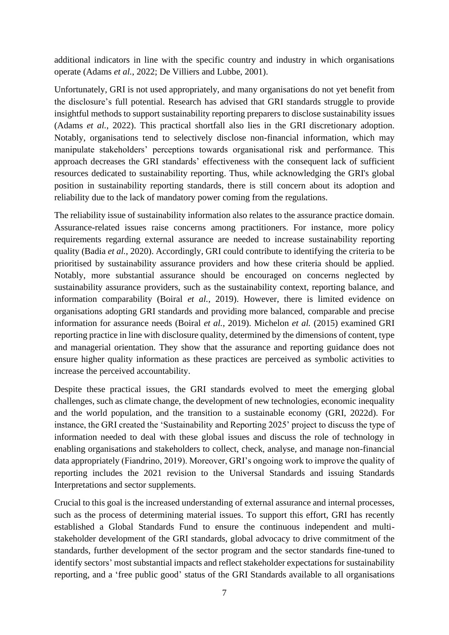additional indicators in line with the specific country and industry in which organisations operate (Adams *et al.*, 2022; De Villiers and Lubbe, 2001).

Unfortunately, GRI is not used appropriately, and many organisations do not yet benefit from the disclosure's full potential. Research has advised that GRI standards struggle to provide insightful methods to support sustainability reporting preparers to disclose sustainability issues (Adams *et al.*, 2022). This practical shortfall also lies in the GRI discretionary adoption. Notably, organisations tend to selectively disclose non-financial information, which may manipulate stakeholders' perceptions towards organisational risk and performance. This approach decreases the GRI standards' effectiveness with the consequent lack of sufficient resources dedicated to sustainability reporting. Thus, while acknowledging the GRI's global position in sustainability reporting standards, there is still concern about its adoption and reliability due to the lack of mandatory power coming from the regulations.

The reliability issue of sustainability information also relates to the assurance practice domain. Assurance-related issues raise concerns among practitioners. For instance, more policy requirements regarding external assurance are needed to increase sustainability reporting quality (Badia *et al.*, 2020). Accordingly, GRI could contribute to identifying the criteria to be prioritised by sustainability assurance providers and how these criteria should be applied. Notably, more substantial assurance should be encouraged on concerns neglected by sustainability assurance providers, such as the sustainability context, reporting balance, and information comparability (Boiral *et al.*, 2019). However, there is limited evidence on organisations adopting GRI standards and providing more balanced, comparable and precise information for assurance needs (Boiral *et al.*, 2019). Michelon *et al.* (2015) examined GRI reporting practice in line with disclosure quality, determined by the dimensions of content, type and managerial orientation. They show that the assurance and reporting guidance does not ensure higher quality information as these practices are perceived as symbolic activities to increase the perceived accountability.

Despite these practical issues, the GRI standards evolved to meet the emerging global challenges, such as climate change, the development of new technologies, economic inequality and the world population, and the transition to a sustainable economy (GRI, 2022d). For instance, the GRI created the 'Sustainability and Reporting 2025' project to discuss the type of information needed to deal with these global issues and discuss the role of technology in enabling organisations and stakeholders to collect, check, analyse, and manage non-financial data appropriately (Fiandrino, 2019). Moreover, GRI's ongoing work to improve the quality of reporting includes the 2021 revision to the Universal Standards and issuing Standards Interpretations and sector supplements.

Crucial to this goal is the increased understanding of external assurance and internal processes, such as the process of determining material issues. To support this effort, GRI has recently established a Global Standards Fund to ensure the continuous independent and multistakeholder development of the GRI standards, global advocacy to drive commitment of the standards, further development of the sector program and the sector standards fine-tuned to identify sectors' most substantial impacts and reflect stakeholder expectations for sustainability reporting, and a 'free public good' status of the GRI Standards available to all organisations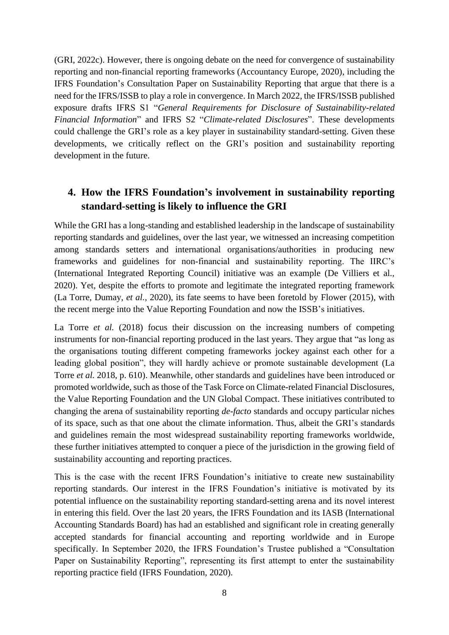(GRI, 2022c). However, there is ongoing debate on the need for convergence of sustainability reporting and non-financial reporting frameworks (Accountancy Europe, 2020), including the IFRS Foundation's Consultation Paper on Sustainability Reporting that argue that there is a need for the IFRS/ISSB to play a role in convergence. In March 2022, the IFRS/ISSB published exposure drafts IFRS S1 "*General Requirements for Disclosure of Sustainability-related Financial Information*" and IFRS S2 "*Climate-related Disclosures*". These developments could challenge the GRI's role as a key player in sustainability standard-setting. Given these developments, we critically reflect on the GRI's position and sustainability reporting development in the future.

# **4. How the IFRS Foundation's involvement in sustainability reporting standard-setting is likely to influence the GRI**

While the GRI has a long-standing and established leadership in the landscape of sustainability reporting standards and guidelines, over the last year, we witnessed an increasing competition among standards setters and international organisations/authorities in producing new frameworks and guidelines for non-financial and sustainability reporting. The IIRC's (International Integrated Reporting Council) initiative was an example (De Villiers et al., 2020). Yet, despite the efforts to promote and legitimate the integrated reporting framework (La Torre, Dumay, *et al.*, 2020), its fate seems to have been foretold by Flower (2015), with the recent merge into the Value Reporting Foundation and now the ISSB's initiatives.

La Torre *et al.* (2018) focus their discussion on the increasing numbers of competing instruments for non-financial reporting produced in the last years. They argue that "as long as the organisations touting different competing frameworks jockey against each other for a leading global position", they will hardly achieve or promote sustainable development (La Torre *et al.* 2018, p. 610). Meanwhile, other standards and guidelines have been introduced or promoted worldwide, such as those of the Task Force on Climate-related Financial Disclosures, the Value Reporting Foundation and the UN Global Compact. These initiatives contributed to changing the arena of sustainability reporting *de-facto* standards and occupy particular niches of its space, such as that one about the climate information. Thus, albeit the GRI's standards and guidelines remain the most widespread sustainability reporting frameworks worldwide, these further initiatives attempted to conquer a piece of the jurisdiction in the growing field of sustainability accounting and reporting practices.

This is the case with the recent IFRS Foundation's initiative to create new sustainability reporting standards. Our interest in the IFRS Foundation's initiative is motivated by its potential influence on the sustainability reporting standard-setting arena and its novel interest in entering this field. Over the last 20 years, the IFRS Foundation and its IASB (International Accounting Standards Board) has had an established and significant role in creating generally accepted standards for financial accounting and reporting worldwide and in Europe specifically. In September 2020, the IFRS Foundation's Trustee published a "Consultation Paper on Sustainability Reporting", representing its first attempt to enter the sustainability reporting practice field (IFRS Foundation, 2020).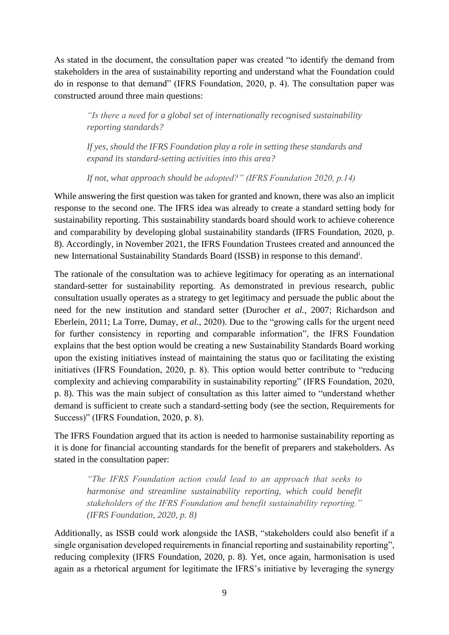As stated in the document, the consultation paper was created "to identify the demand from stakeholders in the area of sustainability reporting and understand what the Foundation could do in response to that demand" (IFRS Foundation, 2020, p. 4). The consultation paper was constructed around three main questions:

*"Is there a need for a global set of internationally recognised sustainability reporting standards?* 

*If yes, should the IFRS Foundation play a role in setting these standards and expand its standard-setting activities into this area?* 

*If not, what approach should be adopted?" (IFRS Foundation 2020, p.14)*

While answering the first question was taken for granted and known, there was also an implicit response to the second one. The IFRS idea was already to create a standard setting body for sustainability reporting. This sustainability standards board should work to achieve coherence and comparability by developing global sustainability standards (IFRS Foundation, 2020, p. 8). Accordingly, in November 2021, the IFRS Foundation Trustees created and announced the new International Sustainability Standards Board (ISSB) in response to this demand<sup>i</sup>.

The rationale of the consultation was to achieve legitimacy for operating as an international standard-setter for sustainability reporting. As demonstrated in previous research, public consultation usually operates as a strategy to get legitimacy and persuade the public about the need for the new institution and standard setter (Durocher *et al.*, 2007; Richardson and Eberlein, 2011; La Torre, Dumay, *et al.*, 2020). Due to the "growing calls for the urgent need for further consistency in reporting and comparable information", the IFRS Foundation explains that the best option would be creating a new Sustainability Standards Board working upon the existing initiatives instead of maintaining the status quo or facilitating the existing initiatives (IFRS Foundation, 2020, p. 8). This option would better contribute to "reducing complexity and achieving comparability in sustainability reporting" (IFRS Foundation, 2020, p. 8). This was the main subject of consultation as this latter aimed to "understand whether demand is sufficient to create such a standard-setting body (see the section, Requirements for Success)" (IFRS Foundation, 2020, p. 8).

The IFRS Foundation argued that its action is needed to harmonise sustainability reporting as it is done for financial accounting standards for the benefit of preparers and stakeholders. As stated in the consultation paper:

*"The IFRS Foundation action could lead to an approach that seeks to harmonise and streamline sustainability reporting, which could benefit stakeholders of the IFRS Foundation and benefit sustainability reporting." (IFRS Foundation, 2020, p. 8)*

Additionally, as ISSB could work alongside the IASB, "stakeholders could also benefit if a single organisation developed requirements in financial reporting and sustainability reporting", reducing complexity (IFRS Foundation, 2020, p. 8). Yet, once again, harmonisation is used again as a rhetorical argument for legitimate the IFRS's initiative by leveraging the synergy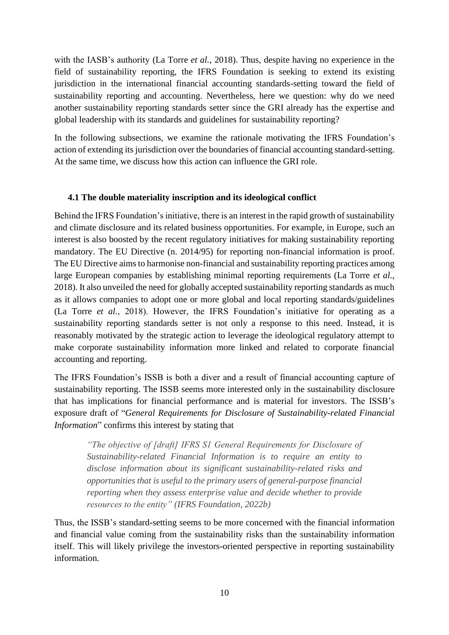with the IASB's authority (La Torre *et al.*, 2018). Thus, despite having no experience in the field of sustainability reporting, the IFRS Foundation is seeking to extend its existing jurisdiction in the international financial accounting standards-setting toward the field of sustainability reporting and accounting. Nevertheless, here we question: why do we need another sustainability reporting standards setter since the GRI already has the expertise and global leadership with its standards and guidelines for sustainability reporting?

In the following subsections, we examine the rationale motivating the IFRS Foundation's action of extending its jurisdiction over the boundaries of financial accounting standard-setting. At the same time, we discuss how this action can influence the GRI role.

#### **4.1 The double materiality inscription and its ideological conflict**

Behind the IFRS Foundation's initiative, there is an interest in the rapid growth of sustainability and climate disclosure and its related business opportunities. For example, in Europe, such an interest is also boosted by the recent regulatory initiatives for making sustainability reporting mandatory. The EU Directive (n. 2014/95) for reporting non-financial information is proof. The EU Directive aims to harmonise non-financial and sustainability reporting practices among large European companies by establishing minimal reporting requirements (La Torre *et al.*, 2018). It also unveiled the need for globally accepted sustainability reporting standards as much as it allows companies to adopt one or more global and local reporting standards/guidelines (La Torre *et al.*, 2018). However, the IFRS Foundation's initiative for operating as a sustainability reporting standards setter is not only a response to this need. Instead, it is reasonably motivated by the strategic action to leverage the ideological regulatory attempt to make corporate sustainability information more linked and related to corporate financial accounting and reporting.

The IFRS Foundation's ISSB is both a diver and a result of financial accounting capture of sustainability reporting. The ISSB seems more interested only in the sustainability disclosure that has implications for financial performance and is material for investors. The ISSB's exposure draft of "*General Requirements for Disclosure of Sustainability-related Financial Information*" confirms this interest by stating that

*"The objective of [draft] IFRS S1 General Requirements for Disclosure of Sustainability-related Financial Information is to require an entity to disclose information about its significant sustainability-related risks and opportunities that is useful to the primary users of general-purpose financial reporting when they assess enterprise value and decide whether to provide resources to the entity" (IFRS Foundation, 2022b)*

Thus, the ISSB's standard-setting seems to be more concerned with the financial information and financial value coming from the sustainability risks than the sustainability information itself. This will likely privilege the investors-oriented perspective in reporting sustainability information.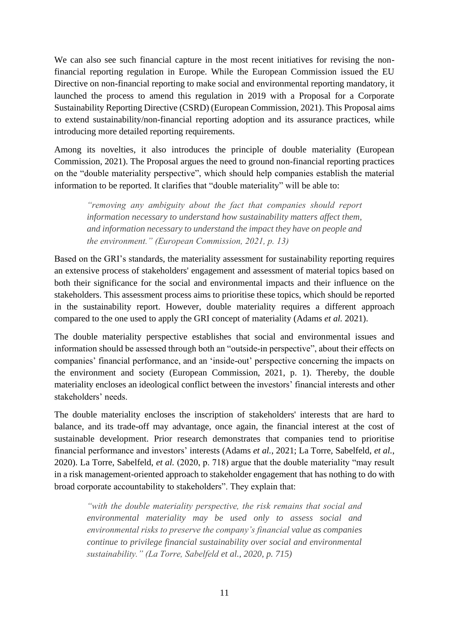We can also see such financial capture in the most recent initiatives for revising the nonfinancial reporting regulation in Europe. While the European Commission issued the EU Directive on non-financial reporting to make social and environmental reporting mandatory, it launched the process to amend this regulation in 2019 with a Proposal for a Corporate Sustainability Reporting Directive (CSRD) (European Commission, 2021). This Proposal aims to extend sustainability/non-financial reporting adoption and its assurance practices, while introducing more detailed reporting requirements.

Among its novelties, it also introduces the principle of double materiality (European Commission, 2021). The Proposal argues the need to ground non-financial reporting practices on the "double materiality perspective", which should help companies establish the material information to be reported. It clarifies that "double materiality" will be able to:

*"removing any ambiguity about the fact that companies should report information necessary to understand how sustainability matters affect them, and information necessary to understand the impact they have on people and the environment." (European Commission, 2021, p. 13)*

Based on the GRI's standards, the materiality assessment for sustainability reporting requires an extensive process of stakeholders' engagement and assessment of material topics based on both their significance for the social and environmental impacts and their influence on the stakeholders. This assessment process aims to prioritise these topics, which should be reported in the sustainability report. However, double materiality requires a different approach compared to the one used to apply the GRI concept of materiality (Adams *et al.* 2021).

The double materiality perspective establishes that social and environmental issues and information should be assessed through both an "outside-in perspective", about their effects on companies' financial performance, and an 'inside-out' perspective concerning the impacts on the environment and society (European Commission, 2021, p. 1). Thereby, the double materiality encloses an ideological conflict between the investors' financial interests and other stakeholders' needs.

The double materiality encloses the inscription of stakeholders' interests that are hard to balance, and its trade-off may advantage, once again, the financial interest at the cost of sustainable development. Prior research demonstrates that companies tend to prioritise financial performance and investors' interests (Adams *et al.*, 2021; La Torre, Sabelfeld, *et al.*, 2020). La Torre, Sabelfeld, *et al.* (2020, p. 718) argue that the double materiality "may result in a risk management-oriented approach to stakeholder engagement that has nothing to do with broad corporate accountability to stakeholders". They explain that:

*"with the double materiality perspective, the risk remains that social and environmental materiality may be used only to assess social and environmental risks to preserve the company's financial value as companies continue to privilege financial sustainability over social and environmental sustainability." (La Torre, Sabelfeld et al., 2020, p. 715)*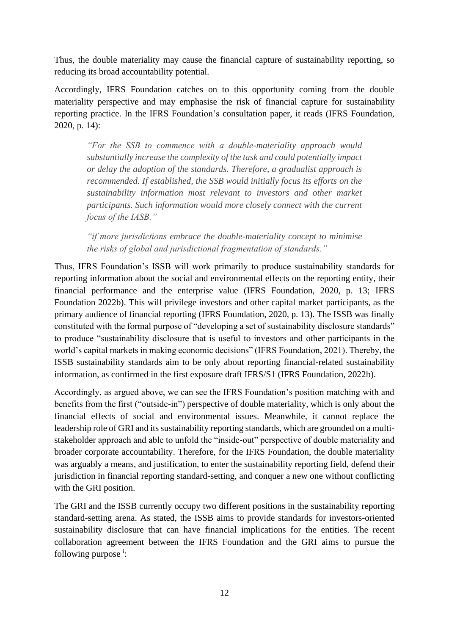Thus, the double materiality may cause the financial capture of sustainability reporting, so reducing its broad accountability potential.

Accordingly, IFRS Foundation catches on to this opportunity coming from the double materiality perspective and may emphasise the risk of financial capture for sustainability reporting practice. In the IFRS Foundation's consultation paper, it reads (IFRS Foundation, 2020, p. 14):

*"For the SSB to commence with a double-materiality approach would substantially increase the complexity of the task and could potentially impact or delay the adoption of the standards. Therefore, a gradualist approach is recommended. If established, the SSB would initially focus its efforts on the sustainability information most relevant to investors and other market participants. Such information would more closely connect with the current focus of the IASB."*

*"if more jurisdictions embrace the double-materiality concept to minimise the risks of global and jurisdictional fragmentation of standards."*

Thus, IFRS Foundation's ISSB will work primarily to produce sustainability standards for reporting information about the social and environmental effects on the reporting entity, their financial performance and the enterprise value (IFRS Foundation, 2020, p. 13; IFRS Foundation 2022b). This will privilege investors and other capital market participants, as the primary audience of financial reporting (IFRS Foundation, 2020, p. 13). The ISSB was finally constituted with the formal purpose of "developing a set of sustainability disclosure standards" to produce "sustainability disclosure that is useful to investors and other participants in the world's capital markets in making economic decisions" (IFRS Foundation, 2021). Thereby, the ISSB sustainability standards aim to be only about reporting financial-related sustainability information, as confirmed in the first exposure draft IFRS/S1 (IFRS Foundation, 2022b).

Accordingly, as argued above, we can see the IFRS Foundation's position matching with and benefits from the first ("outside-in") perspective of double materiality, which is only about the financial effects of social and environmental issues. Meanwhile, it cannot replace the leadership role of GRI and its sustainability reporting standards, which are grounded on a multistakeholder approach and able to unfold the "inside-out" perspective of double materiality and broader corporate accountability. Therefore, for the IFRS Foundation, the double materiality was arguably a means, and justification, to enter the sustainability reporting field, defend their jurisdiction in financial reporting standard-setting, and conquer a new one without conflicting with the GRI position.

The GRI and the ISSB currently occupy two different positions in the sustainability reporting standard-setting arena. As stated, the ISSB aims to provide standards for investors-oriented sustainability disclosure that can have financial implications for the entities. The recent collaboration agreement between the IFRS Foundation and the GRI aims to pursue the following purpose<sup>i</sup>: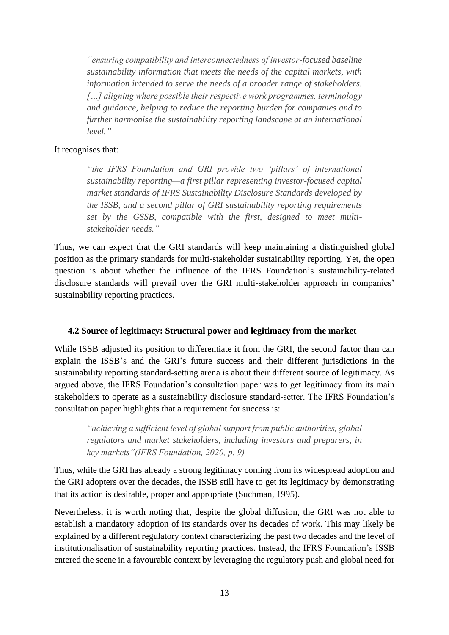*"ensuring compatibility and interconnectedness of investor-focused baseline sustainability information that meets the needs of the capital markets, with information intended to serve the needs of a broader range of stakeholders. […] aligning where possible their respective work programmes, terminology and guidance, helping to reduce the reporting burden for companies and to further harmonise the sustainability reporting landscape at an international level."*

#### It recognises that:

*"the IFRS Foundation and GRI provide two 'pillars' of international sustainability reporting—a first pillar representing investor-focused capital market standards of IFRS Sustainability Disclosure Standards developed by the ISSB, and a second pillar of GRI sustainability reporting requirements set by the GSSB, compatible with the first, designed to meet multistakeholder needs."*

Thus, we can expect that the GRI standards will keep maintaining a distinguished global position as the primary standards for multi-stakeholder sustainability reporting. Yet, the open question is about whether the influence of the IFRS Foundation's sustainability-related disclosure standards will prevail over the GRI multi-stakeholder approach in companies' sustainability reporting practices.

#### **4.2 Source of legitimacy: Structural power and legitimacy from the market**

While ISSB adjusted its position to differentiate it from the GRI, the second factor than can explain the ISSB's and the GRI's future success and their different jurisdictions in the sustainability reporting standard-setting arena is about their different source of legitimacy. As argued above, the IFRS Foundation's consultation paper was to get legitimacy from its main stakeholders to operate as a sustainability disclosure standard-setter. The IFRS Foundation's consultation paper highlights that a requirement for success is:

*"achieving a sufficient level of global support from public authorities, global regulators and market stakeholders, including investors and preparers, in key markets"(IFRS Foundation, 2020, p. 9)*

Thus, while the GRI has already a strong legitimacy coming from its widespread adoption and the GRI adopters over the decades, the ISSB still have to get its legitimacy by demonstrating that its action is desirable, proper and appropriate (Suchman, 1995).

Nevertheless, it is worth noting that, despite the global diffusion, the GRI was not able to establish a mandatory adoption of its standards over its decades of work. This may likely be explained by a different regulatory context characterizing the past two decades and the level of institutionalisation of sustainability reporting practices. Instead, the IFRS Foundation's ISSB entered the scene in a favourable context by leveraging the regulatory push and global need for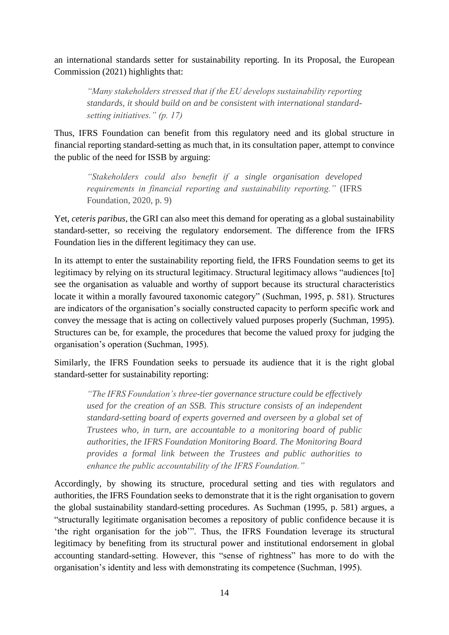an international standards setter for sustainability reporting. In its Proposal, the European Commission (2021) highlights that:

*"Many stakeholders stressed that if the EU develops sustainability reporting standards, it should build on and be consistent with international standardsetting initiatives." (p. 17)*

Thus, IFRS Foundation can benefit from this regulatory need and its global structure in financial reporting standard-setting as much that, in its consultation paper, attempt to convince the public of the need for ISSB by arguing:

*"Stakeholders could also benefit if a single organisation developed requirements in financial reporting and sustainability reporting."* (IFRS Foundation, 2020, p. 9)

Yet, *ceteris paribus*, the GRI can also meet this demand for operating as a global sustainability standard-setter, so receiving the regulatory endorsement. The difference from the IFRS Foundation lies in the different legitimacy they can use.

In its attempt to enter the sustainability reporting field, the IFRS Foundation seems to get its legitimacy by relying on its structural legitimacy. Structural legitimacy allows "audiences [to] see the organisation as valuable and worthy of support because its structural characteristics locate it within a morally favoured taxonomic category" (Suchman, 1995, p. 581). Structures are indicators of the organisation's socially constructed capacity to perform specific work and convey the message that is acting on collectively valued purposes properly (Suchman, 1995). Structures can be, for example, the procedures that become the valued proxy for judging the organisation's operation (Suchman, 1995).

Similarly, the IFRS Foundation seeks to persuade its audience that it is the right global standard-setter for sustainability reporting:

*"The IFRS Foundation's three-tier governance structure could be effectively used for the creation of an SSB. This structure consists of an independent standard-setting board of experts governed and overseen by a global set of Trustees who, in turn, are accountable to a monitoring board of public authorities, the IFRS Foundation Monitoring Board. The Monitoring Board provides a formal link between the Trustees and public authorities to enhance the public accountability of the IFRS Foundation."*

Accordingly, by showing its structure, procedural setting and ties with regulators and authorities, the IFRS Foundation seeks to demonstrate that it is the right organisation to govern the global sustainability standard-setting procedures. As Suchman (1995, p. 581) argues, a "structurally legitimate organisation becomes a repository of public confidence because it is 'the right organisation for the job'". Thus, the IFRS Foundation leverage its structural legitimacy by benefiting from its structural power and institutional endorsement in global accounting standard-setting. However, this "sense of rightness" has more to do with the organisation's identity and less with demonstrating its competence (Suchman, 1995).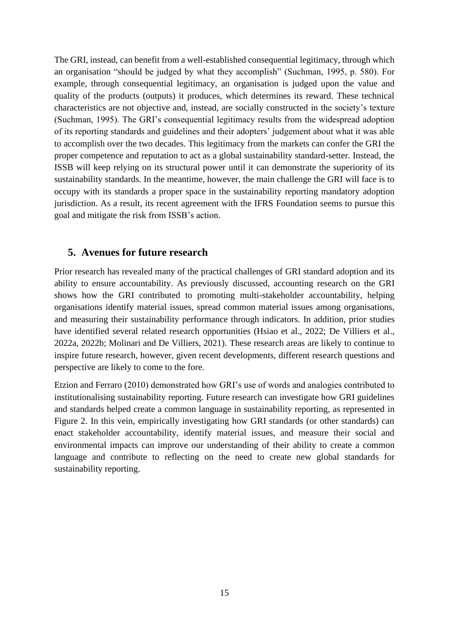The GRI, instead, can benefit from a well-established consequential legitimacy, through which an organisation "should be judged by what they accomplish" (Suchman, 1995, p. 580). For example, through consequential legitimacy, an organisation is judged upon the value and quality of the products (outputs) it produces, which determines its reward. These technical characteristics are not objective and, instead, are socially constructed in the society's texture (Suchman, 1995). The GRI's consequential legitimacy results from the widespread adoption of its reporting standards and guidelines and their adopters' judgement about what it was able to accomplish over the two decades. This legitimacy from the markets can confer the GRI the proper competence and reputation to act as a global sustainability standard-setter. Instead, the ISSB will keep relying on its structural power until it can demonstrate the superiority of its sustainability standards. In the meantime, however, the main challenge the GRI will face is to occupy with its standards a proper space in the sustainability reporting mandatory adoption jurisdiction. As a result, its recent agreement with the IFRS Foundation seems to pursue this goal and mitigate the risk from ISSB's action.

# **5. Avenues for future research**

Prior research has revealed many of the practical challenges of GRI standard adoption and its ability to ensure accountability. As previously discussed, accounting research on the GRI shows how the GRI contributed to promoting multi-stakeholder accountability, helping organisations identify material issues, spread common material issues among organisations, and measuring their sustainability performance through indicators. In addition, prior studies have identified several related research opportunities (Hsiao et al., 2022; De Villiers et al., 2022a, 2022b; Molinari and De Villiers, 2021). These research areas are likely to continue to inspire future research, however, given recent developments, different research questions and perspective are likely to come to the fore.

Etzion and Ferraro (2010) demonstrated how GRI's use of words and analogies contributed to institutionalising sustainability reporting. Future research can investigate how GRI guidelines and standards helped create a common language in sustainability reporting, as represented in Figure 2. In this vein, empirically investigating how GRI standards (or other standards) can enact stakeholder accountability, identify material issues, and measure their social and environmental impacts can improve our understanding of their ability to create a common language and contribute to reflecting on the need to create new global standards for sustainability reporting.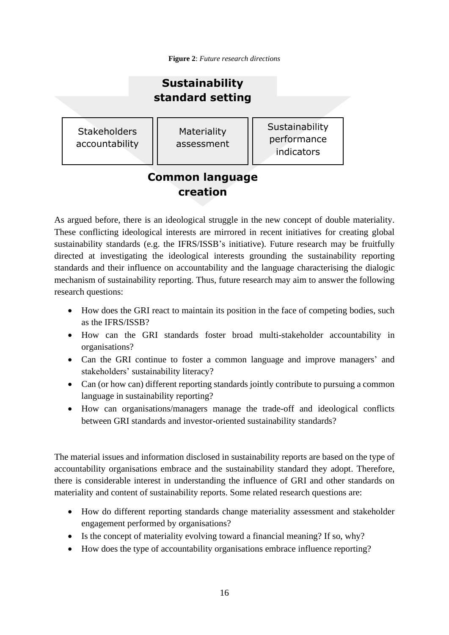**Figure 2**: *Future research directions*

#### **Stakeholders** accountability **Materiality** assessment **Sustainability** performance indicators **Sustainability standard setting**

# **Common language creation**

As argued before, there is an ideological struggle in the new concept of double materiality. These conflicting ideological interests are mirrored in recent initiatives for creating global sustainability standards (e.g. the IFRS/ISSB's initiative). Future research may be fruitfully directed at investigating the ideological interests grounding the sustainability reporting standards and their influence on accountability and the language characterising the dialogic mechanism of sustainability reporting. Thus, future research may aim to answer the following research questions:

- How does the GRI react to maintain its position in the face of competing bodies, such as the IFRS/ISSB?
- How can the GRI standards foster broad multi-stakeholder accountability in organisations?
- Can the GRI continue to foster a common language and improve managers' and stakeholders' sustainability literacy?
- Can (or how can) different reporting standards jointly contribute to pursuing a common language in sustainability reporting?
- How can organisations/managers manage the trade-off and ideological conflicts between GRI standards and investor-oriented sustainability standards?

The material issues and information disclosed in sustainability reports are based on the type of accountability organisations embrace and the sustainability standard they adopt. Therefore, there is considerable interest in understanding the influence of GRI and other standards on materiality and content of sustainability reports. Some related research questions are:

- How do different reporting standards change materiality assessment and stakeholder engagement performed by organisations?
- Is the concept of materiality evolving toward a financial meaning? If so, why?
- How does the type of accountability organisations embrace influence reporting?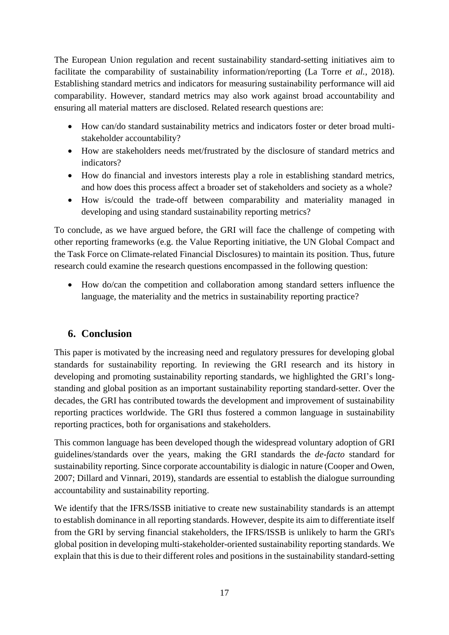The European Union regulation and recent sustainability standard-setting initiatives aim to facilitate the comparability of sustainability information/reporting (La Torre *et al.*, 2018). Establishing standard metrics and indicators for measuring sustainability performance will aid comparability. However, standard metrics may also work against broad accountability and ensuring all material matters are disclosed. Related research questions are:

- How can/do standard sustainability metrics and indicators foster or deter broad multistakeholder accountability?
- How are stakeholders needs met/frustrated by the disclosure of standard metrics and indicators?
- How do financial and investors interests play a role in establishing standard metrics, and how does this process affect a broader set of stakeholders and society as a whole?
- How is/could the trade-off between comparability and materiality managed in developing and using standard sustainability reporting metrics?

To conclude, as we have argued before, the GRI will face the challenge of competing with other reporting frameworks (e.g. the Value Reporting initiative, the UN Global Compact and the Task Force on Climate-related Financial Disclosures) to maintain its position. Thus, future research could examine the research questions encompassed in the following question:

• How do/can the competition and collaboration among standard setters influence the language, the materiality and the metrics in sustainability reporting practice?

# **6. Conclusion**

This paper is motivated by the increasing need and regulatory pressures for developing global standards for sustainability reporting. In reviewing the GRI research and its history in developing and promoting sustainability reporting standards, we highlighted the GRI's longstanding and global position as an important sustainability reporting standard-setter. Over the decades, the GRI has contributed towards the development and improvement of sustainability reporting practices worldwide. The GRI thus fostered a common language in sustainability reporting practices, both for organisations and stakeholders.

This common language has been developed though the widespread voluntary adoption of GRI guidelines/standards over the years, making the GRI standards the *de-facto* standard for sustainability reporting. Since corporate accountability is dialogic in nature (Cooper and Owen, 2007; Dillard and Vinnari, 2019), standards are essential to establish the dialogue surrounding accountability and sustainability reporting.

We identify that the IFRS/ISSB initiative to create new sustainability standards is an attempt to establish dominance in all reporting standards. However, despite its aim to differentiate itself from the GRI by serving financial stakeholders, the IFRS/ISSB is unlikely to harm the GRI's global position in developing multi-stakeholder-oriented sustainability reporting standards. We explain that this is due to their different roles and positions in the sustainability standard-setting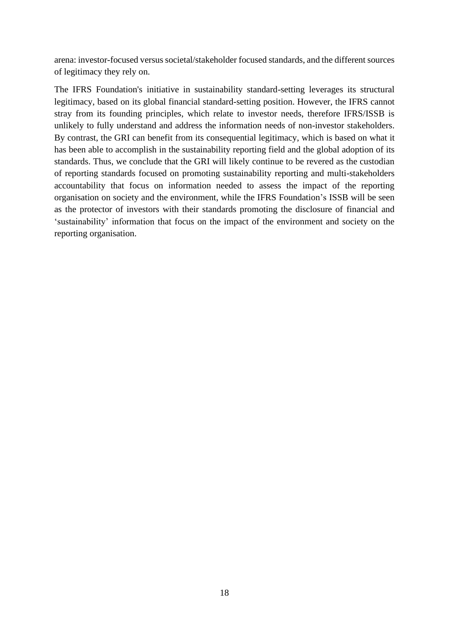arena: investor-focused versus societal/stakeholder focused standards, and the different sources of legitimacy they rely on.

The IFRS Foundation's initiative in sustainability standard-setting leverages its structural legitimacy, based on its global financial standard-setting position. However, the IFRS cannot stray from its founding principles, which relate to investor needs, therefore IFRS/ISSB is unlikely to fully understand and address the information needs of non-investor stakeholders. By contrast, the GRI can benefit from its consequential legitimacy, which is based on what it has been able to accomplish in the sustainability reporting field and the global adoption of its standards. Thus, we conclude that the GRI will likely continue to be revered as the custodian of reporting standards focused on promoting sustainability reporting and multi-stakeholders accountability that focus on information needed to assess the impact of the reporting organisation on society and the environment, while the IFRS Foundation's ISSB will be seen as the protector of investors with their standards promoting the disclosure of financial and 'sustainability' information that focus on the impact of the environment and society on the reporting organisation.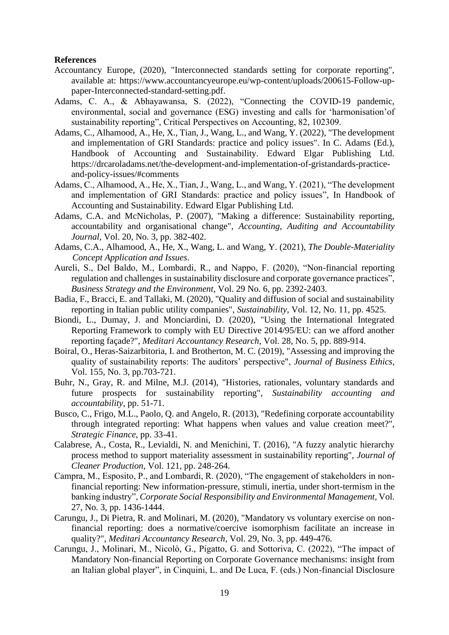#### **References**

- Accountancy Europe, (2020), "Interconnected standards setting for corporate reporting", available at: https://www.accountancyeurope.eu/wp-content/uploads/200615-Follow-uppaper-Interconnected-standard-setting.pdf.
- Adams, C. A., & Abhayawansa, S. (2022), "Connecting the COVID-19 pandemic, environmental, social and governance (ESG) investing and calls for 'harmonisation'of sustainability reporting", Critical Perspectives on Accounting, 82, 102309.
- Adams, C., Alhamood, A., He, X., Tian, J., Wang, L., and Wang, Y. (2022), "The development and implementation of GRI Standards: practice and policy issues". In C. Adams (Ed.), Handbook of Accounting and Sustainability. Edward Elgar Publishing Ltd. https://drcaroladams.net/the-development-and-implementation-of-gristandards-practiceand-policy-issues/#comments
- Adams, C., Alhamood, A., He, X., Tian, J., Wang, L., and Wang, Y. (2021), "The development and implementation of GRI Standards: practice and policy issues", In Handbook of Accounting and Sustainability. Edward Elgar Publishing Ltd.
- Adams, C.A. and McNicholas, P. (2007), "Making a difference: Sustainability reporting, accountability and organisational change"*, Accounting, Auditing and Accountability Journal,* Vol. 20, No. 3, pp. 382-402.
- Adams, C.A., Alhamood, A., He, X., Wang, L. and Wang, Y. (2021), *The Double-Materiality Concept Application and Issues*.
- Aureli, S., Del Baldo, M., Lombardi, R., and Nappo, F. (2020), "Non-financial reporting regulation and challenges in sustainability disclosure and corporate governance practices", *Business Strategy and the Environment*, Vol. 29 No. 6, pp. 2392-2403.
- Badia, F., Bracci, E. and Tallaki, M. (2020), "Quality and diffusion of social and sustainability reporting in Italian public utility companies", *Sustainability*, Vol. 12, No. 11, pp. 4525.
- Biondi, L., Dumay, J. and Monciardini, D. (2020), "Using the International Integrated Reporting Framework to comply with EU Directive 2014/95/EU: can we afford another reporting façade?"*, Meditari Accountancy Research,* Vol. 28, No. 5, pp. 889-914.
- Boiral, O., Heras-Saizarbitoria, I. and Brotherton, M. C. (2019), "Assessing and improving the quality of sustainability reports: The auditors' perspective", *Journal of Business Ethics*, Vol. 155, No. 3, pp.703-721.
- Buhr, N., Gray, R. and Milne, M.J. (2014), "Histories, rationales, voluntary standards and future prospects for sustainability reporting"*, Sustainability accounting and accountability,* pp. 51-71.
- Busco, C., Frigo, M.L., Paolo, Q. and Angelo, R. (2013), "Redefining corporate accountability through integrated reporting: What happens when values and value creation meet?", *Strategic Finance*, pp. 33-41.
- Calabrese, A., Costa, R., Levialdi, N. and Menichini, T. (2016), "A fuzzy analytic hierarchy process method to support materiality assessment in sustainability reporting", *Journal of Cleaner Production*, Vol. 121, pp. 248-264.
- Campra, M., Esposito, P., and Lombardi, R. (2020), "The engagement of stakeholders in nonfinancial reporting: New information-pressure, stimuli, inertia, under short-termism in the banking industry", *Corporate Social Responsibility and Environmental Management,* Vol. 27, No. 3, pp. 1436-1444.
- Carungu, J., Di Pietra, R. and Molinari, M. (2020), "Mandatory vs voluntary exercise on nonfinancial reporting: does a normative/coercive isomorphism facilitate an increase in quality?", *Meditari Accountancy Research*, Vol. 29, No. 3, pp. 449-476.
- Carungu, J., Molinari, M., Nicolò, G., Pigatto, G. and Sottoriva, C. (2022), "The impact of Mandatory Non-financial Reporting on Corporate Governance mechanisms: insight from an Italian global player", in Cinquini, L. and De Luca, F. (eds.) Non-financial Disclosure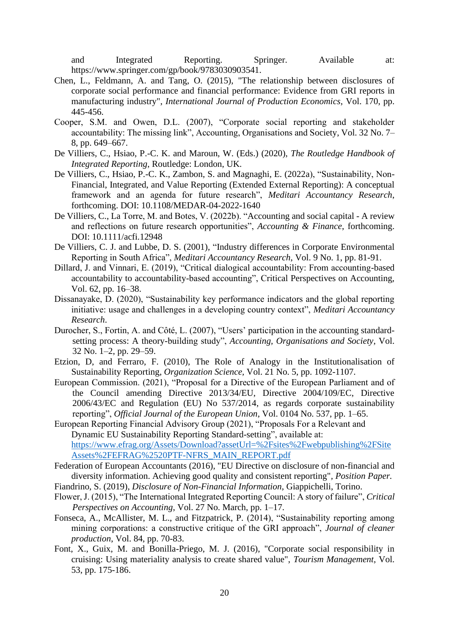and Integrated Reporting. Springer. Available at: https://www.springer.com/gp/book/9783030903541.

- Chen, L., Feldmann, A. and Tang, O. (2015), "The relationship between disclosures of corporate social performance and financial performance: Evidence from GRI reports in manufacturing industry", *International Journal of Production Economics*, Vol. 170, pp. 445-456.
- Cooper, S.M. and Owen, D.L. (2007), "Corporate social reporting and stakeholder accountability: The missing link", Accounting, Organisations and Society, Vol. 32 No. 7– 8, pp. 649–667.
- De Villiers, C., Hsiao, P.-C. K. and Maroun, W. (Eds.) (2020), *The Routledge Handbook of Integrated Reporting*, Routledge: London, UK.
- De Villiers, C., Hsiao, P.-C. K., Zambon, S. and Magnaghi, E. (2022a), "Sustainability, Non-Financial, Integrated, and Value Reporting (Extended External Reporting): A conceptual framework and an agenda for future research", *Meditari Accountancy Research*, forthcoming. DOI: 10.1108/MEDAR-04-2022-1640
- De Villiers, C., La Torre, M. and Botes, V. (2022b). "Accounting and social capital A review and reflections on future research opportunities", *Accounting & Finance*, forthcoming. DOI: 10.1111/acfi.12948
- De Villiers, C. J. and Lubbe, D. S. (2001), "Industry differences in Corporate Environmental Reporting in South Africa", *Meditari Accountancy Research*, Vol. 9 No. 1, pp. 81-91.
- Dillard, J. and Vinnari, E. (2019), "Critical dialogical accountability: From accounting-based accountability to accountability-based accounting", Critical Perspectives on Accounting, Vol. 62, pp. 16–38.
- Dissanayake, D. (2020), "Sustainability key performance indicators and the global reporting initiative: usage and challenges in a developing country context", *Meditari Accountancy Research*.
- Durocher, S., Fortin, A. and Côté, L. (2007), "Users' participation in the accounting standardsetting process: A theory-building study", *Accounting, Organisations and Society*, Vol. 32 No. 1–2, pp. 29–59.
- Etzion, D, and Ferraro, F. (2010), The Role of Analogy in the Institutionalisation of Sustainability Reporting, *Organization Science,* Vol. 21 No. 5, pp. 1092-1107.
- European Commission. (2021), "Proposal for a Directive of the European Parliament and of the Council amending Directive 2013/34/EU, Directive 2004/109/EC, Directive 2006/43/EC and Regulation (EU) No 537/2014, as regards corporate sustainability reporting", *Official Journal of the European Union*, Vol. 0104 No. 537, pp. 1–65.
- European Reporting Financial Advisory Group (2021), "Proposals For a Relevant and Dynamic EU Sustainability Reporting Standard-setting", available at: [https://www.efrag.org/Assets/Download?assetUrl=%2Fsites%2Fwebpublishing%2FSite](https://www.efrag.org/Assets/Download?assetUrl=%2Fsites%2Fwebpublishing%2FSiteAssets%2FEFRAG%2520PTF-NFRS_MAIN_REPORT.pdf) [Assets%2FEFRAG%2520PTF-NFRS\\_MAIN\\_REPORT.pdf](https://www.efrag.org/Assets/Download?assetUrl=%2Fsites%2Fwebpublishing%2FSiteAssets%2FEFRAG%2520PTF-NFRS_MAIN_REPORT.pdf)
- Federation of European Accountants (2016), "EU Directive on disclosure of non-financial and diversity information. Achieving good quality and consistent reporting"*, Position Paper.*
- Fiandrino, S. (2019), *Disclosure of Non-Financial Information*, Giappichelli, Torino.
- Flower, J. (2015), "The International Integrated Reporting Council: A story of failure", *Critical Perspectives on Accounting*, Vol. 27 No. March, pp. 1–17.
- Fonseca, A., McAllister, M. L., and Fitzpatrick, P. (2014), "Sustainability reporting among mining corporations: a constructive critique of the GRI approach", *Journal of cleaner production*, Vol. 84, pp. 70-83.
- Font, X., Guix, M. and Bonilla-Priego, M. J. (2016), "Corporate social responsibility in cruising: Using materiality analysis to create shared value", *Tourism Management*, Vol. 53, pp. 175-186.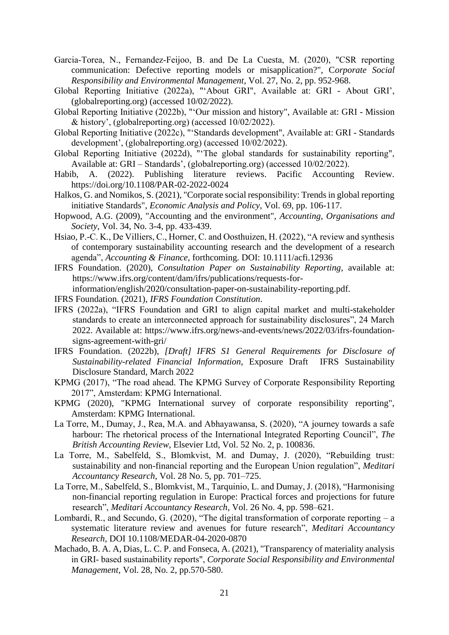- Garcia‐Torea, N., Fernandez‐Feijoo, B. and De La Cuesta, M. (2020), "CSR reporting communication: Defective reporting models or misapplication?", C*orporate Social Responsibility and Environmental Management*, Vol. 27, No. 2, pp. 952-968.
- Global Reporting Initiative (2022a), "'About GRI", Available at: GRI About GRI', (globalreporting.org) (accessed 10/02/2022).
- Global Reporting Initiative (2022b), "'Our mission and history", Available at: GRI Mission & history', (globalreporting.org) (accessed 10/02/2022).
- Global Reporting Initiative (2022c), "'Standards development", Available at: GRI Standards development', (globalreporting.org) (accessed 10/02/2022).
- Global Reporting Initiative (2022d), "'The global standards for sustainability reporting", Available at: GRI – Standards', (globalreporting.org) (accessed 10/02/2022).
- Habib, A. (2022). Publishing literature reviews. Pacific Accounting Review. https://doi.org/10.1108/PAR-02-2022-0024
- Halkos, G. and Nomikos, S. (2021), "Corporate social responsibility: Trends in global reporting initiative Standards", *Economic Analysis and Policy*, Vol. 69, pp. 106-117.
- Hopwood, A.G. (2009), "Accounting and the environment", *Accounting, Organisations and Society*, Vol. 34, No. 3-4, pp. 433-439.
- Hsiao, P.-C. K., De Villiers, C., Horner, C. and Oosthuizen, H. (2022), "A review and synthesis of contemporary sustainability accounting research and the development of a research agenda", *Accounting & Finance*, forthcoming. DOI: 10.1111/acfi.12936
- IFRS Foundation. (2020), *Consultation Paper on Sustainability Reporting*, available at: https://www.ifrs.org/content/dam/ifrs/publications/requests-for-
- information/english/2020/consultation-paper-on-sustainability-reporting.pdf.
- IFRS Foundation. (2021), *IFRS Foundation Constitution*.
- IFRS (2022a), "IFRS Foundation and GRI to align capital market and multi-stakeholder standards to create an interconnected approach for sustainability disclosures", 24 March 2022. Available at: https://www.ifrs.org/news-and-events/news/2022/03/ifrs-foundationsigns-agreement-with-gri/
- IFRS Foundation. (2022b), *[Draft] IFRS S1 General Requirements for Disclosure of Sustainability-related Financial Information*, Exposure Draft IFRS Sustainability Disclosure Standard, March 2022
- KPMG (2017), "The road ahead. The KPMG Survey of Corporate Responsibility Reporting 2017", Amsterdam: KPMG International.
- KPMG (2020), "KPMG International survey of corporate responsibility reporting", Amsterdam: KPMG International.
- La Torre, M., Dumay, J., Rea, M.A. and Abhayawansa, S. (2020), "A journey towards a safe harbour: The rhetorical process of the International Integrated Reporting Council", *The British Accounting Review*, Elsevier Ltd, Vol. 52 No. 2, p. 100836.
- La Torre, M., Sabelfeld, S., Blomkvist, M. and Dumay, J. (2020), "Rebuilding trust: sustainability and non-financial reporting and the European Union regulation", *Meditari Accountancy Research*, Vol. 28 No. 5, pp. 701–725.
- La Torre, M., Sabelfeld, S., Blomkvist, M., Tarquinio, L. and Dumay, J. (2018), "Harmonising non-financial reporting regulation in Europe: Practical forces and projections for future research", *Meditari Accountancy Research*, Vol. 26 No. 4, pp. 598–621.
- Lombardi, R., and Secundo, G.  $(2020)$ , "The digital transformation of corporate reporting a systematic literature review and avenues for future research", *Meditari Accountancy Research,* DOI 10.1108/MEDAR-04-2020-0870
- Machado, B. A. A, Dias, L. C. P. and Fonseca, A. (2021), "Transparency of materiality analysis in GRI‐ based sustainability reports", *Corporate Social Responsibility and Environmental Management,* Vol. 28, No. 2, pp.570-580.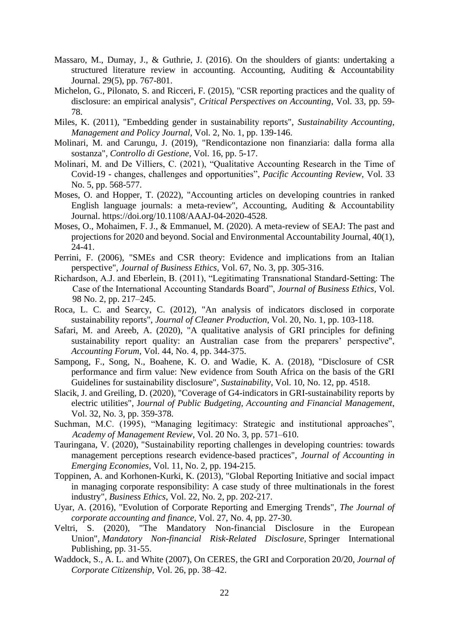- Massaro, M., Dumay, J., & Guthrie, J. (2016). On the shoulders of giants: undertaking a structured literature review in accounting. Accounting, Auditing & Accountability Journal. 29(5), pp. 767-801.
- Michelon, G., Pilonato, S. and Ricceri, F. (2015), "CSR reporting practices and the quality of disclosure: an empirical analysis", *Critical Perspectives on Accounting*, Vol. 33, pp. 59- 78.
- Miles, K. (2011), "Embedding gender in sustainability reports", *Sustainability Accounting, Management and Policy Journal*, Vol. 2, No. 1, pp. 139-146.
- Molinari, M. and Carungu, J. (2019), "Rendicontazione non finanziaria: dalla forma alla sostanza"*, Controllo di Gestione,* Vol. 16, pp. 5-17.
- Molinari, M. and De Villiers, C. (2021), "Qualitative Accounting Research in the Time of Covid-19 - changes, challenges and opportunities", *Pacific Accounting Review*, Vol. 33 No. 5, pp. 568-577.
- Moses, O. and Hopper, T. (2022), "Accounting articles on developing countries in ranked English language journals: a meta-review", Accounting, Auditing & Accountability Journal. https://doi.org/10.1108/AAAJ-04-2020-4528.
- Moses, O., Mohaimen, F. J., & Emmanuel, M. (2020). A meta-review of SEAJ: The past and projections for 2020 and beyond. Social and Environmental Accountability Journal, 40(1), 24-41.
- Perrini, F. (2006), "SMEs and CSR theory: Evidence and implications from an Italian perspective"*, Journal of Business Ethics,* Vol. 67, No. 3, pp. 305-316.
- Richardson, A.J. and Eberlein, B. (2011), "Legitimating Transnational Standard-Setting: The Case of the International Accounting Standards Board", *Journal of Business Ethics*, Vol. 98 No. 2, pp. 217–245.
- Roca, L. C. and Searcy, C. (2012), "An analysis of indicators disclosed in corporate sustainability reports", *Journal of Cleaner Production*, Vol. 20, No. 1, pp. 103-118.
- Safari, M. and Areeb, A. (2020), "A qualitative analysis of GRI principles for defining sustainability report quality: an Australian case from the preparers' perspective", *Accounting Forum*, Vol. 44, No. 4, pp. 344-375.
- Sampong, F., Song, N., Boahene, K. O. and Wadie, K. A. (2018), "Disclosure of CSR performance and firm value: New evidence from South Africa on the basis of the GRI Guidelines for sustainability disclosure", *Sustainability*, Vol. 10, No. 12, pp. 4518.
- Slacik, J. and Greiling, D. (2020), "Coverage of G4-indicators in GRI-sustainability reports by electric utilities", J*ournal of Public Budgeting, Accounting and Financial Management*, Vol. 32, No. 3, pp. 359-378.
- Suchman, M.C. (1995), "Managing legitimacy: Strategic and institutional approaches", *Academy of Management Review*, Vol. 20 No. 3, pp. 571–610.
- Tauringana, V. (2020), "Sustainability reporting challenges in developing countries: towards management perceptions research evidence-based practices", *Journal of Accounting in Emerging Economies*, Vol. 11, No. 2, pp. 194-215.
- Toppinen, A. and Korhonen-Kurki, K. (2013), "Global Reporting Initiative and social impact in managing corporate responsibility: A case study of three multinationals in the forest industry", *Business Ethics*, Vol. 22, No. 2, pp. 202-217.
- Uyar, A. (2016), "Evolution of Corporate Reporting and Emerging Trends"*, The Journal of corporate accounting and finance,* Vol. 27, No. 4, pp. 27-30.
- Veltri, S. (2020), "The Mandatory Non-financial Disclosure in the European Union", *Mandatory Non-financial Risk-Related Disclosure,* Springer International Publishing, pp. 31-55.
- Waddock, S., A. L. and White (2007), On CERES, the GRI and Corporation 20/20, *Journal of Corporate Citizenship*, Vol. 26, pp. 38–42.